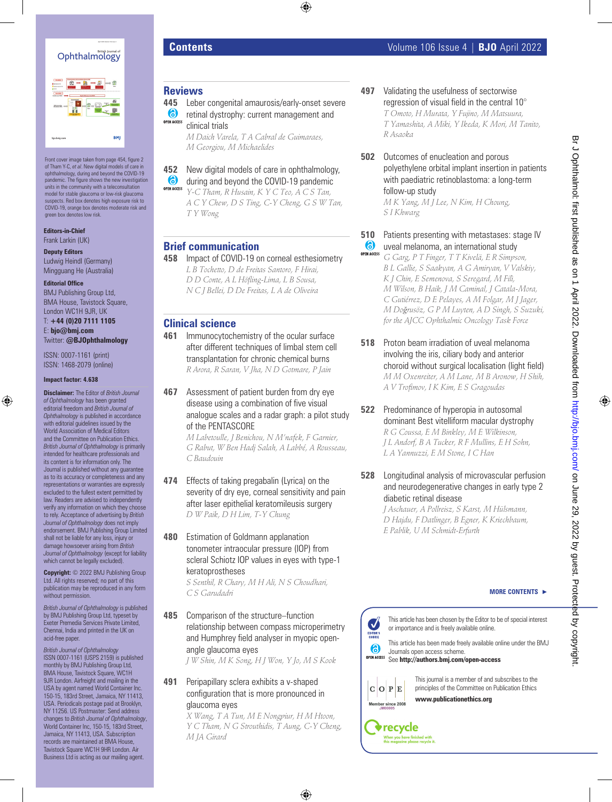

| i n<br><b>ACCHO</b><br><b>STATE</b> | tana kao<br>Indrindra dia k<br><u>www</u><br>$\equiv$<br>⋍<br><b>Package</b>                               | <b>No</b>              |
|-------------------------------------|------------------------------------------------------------------------------------------------------------|------------------------|
|                                     | <b>DERES</b><br>$-111$<br>Í<br>ś<br>۱ő<br><b>Motive</b><br><b>Contractor</b><br>يسببه<br><b>WASHINGTON</b> | 蹊<br><b>STATISTICS</b> |
| bjo.bmj.com                         |                                                                                                            | <b>BMJ</b>             |

Front cover image taken from page 454, figure 2 of Tham Y-C, *et al*. New digital models of care in ophthalmology, during and beyond the COVID-19 pandemic. The figure shows the new investigation units in the community with a teleconsultation model for stable glaucoma or low-risk glaucoma suspects. Red box denotes high exposure risk to COVID-19, orange box denotes moderate risk and green box denotes low risk.

**Editors-in-Chief** Frank Larkin (UK)

**Deputy Editors** Ludwig Heindl (Germany) Mingguang He (Australia)

### **Editorial Office**

BMJ Publishing Group Ltd, BMA House, Tavistock Square, London WC1H 9JR, UK

T: **+44 (0)20 7111 1105** E: **bjo@bmj.com** Twitter: **@BJOphthalmology**

ISSN: 0007-1161 (print) ISSN: 1468-2079 (online)

### **Impact factor: 4.638**

**Disclaimer:** The Editor of *British Journal of Ophthalmology* has been granted editorial freedom and *British Journal of Ophthalmology* is published in accordance with editorial guidelines issued by the World Association of Medical Editors and the Committee on Publication Ethics. *British Journal of Ophthalmology* is primarily intended for healthcare professionals and its content is for information only. The Journal is published without any guarantee as to its accuracy or completeness and any representations or warranties are expressly excluded to the fullest extent permitted by law. Readers are advised to independently verify any information on which they choose to rely. Acceptance of advertising by *British Journal of Ophthalmology* does not imply endorsement. BMJ Publishing Group Limited shall not be liable for any loss, injury or damage howsoever arising from *British Journal of Ophthalmology* (except for liability which cannot be legally excluded).

**Copyright:** © 2022 BMJ Publishing Group Ltd. All rights reserved; no part of this publication may be reproduced in any form without permission.

*British Journal of Ophthalmology* is published by BMJ Publishing Group Ltd, typeset by Exeter Premedia Services Private Limited, Chennai, India and printed in the UK on acid-free paper.

*British Journal of Ophthalmology* ISSN 0007-1161 (USPS 2159) is published monthly by BMJ Publishing Group Ltd, BMA House, Tavistock Square, WC1H 9JR London. Airfreight and mailing in the USA by agent named World Container Ind 150-15, 183rd Street, Jamaica, NY 11413, USA. Periodicals postage paid at Brooklyn, NY 11256. US Postmaster: Send address changes to *British Journal of Ophthalmology*, World Container Inc, 150-15, 183rd Street, Jamaica, NY 11413, USA. Subscription records are maintained at BMA House, Tavistock Square WC1H 9HR London. Air Business Ltd is acting as our mailing agent.

# **Reviews**

**445** Leber congenital amaurosis/early-onset severe **6** retinal dystrophy: current management and **OPEN ACCESS** clinical trials

*M Daich Varela, T A Cabral de Guimaraes, M Georgiou, M Michaelides*

# **452** New digital models of care in ophthalmology,

6 during and beyond the COVID-19 pandemic **OPEN ACCESS** 

*Y-C Tham, R Husain, K Y C Teo, A C S Tan, A C Y Chew, D S Ting, C-Y Cheng, G S W Tan, T Y Wong*

# **Brief communication**

**458** Impact of COVID-19 on corneal esthesiometry *L B Tochetto, D de Freitas Santoro, F Hirai, D D Conte, A L Höfling-Lima, L B Sousa, N C J Bellei, D De Freitas, L A de Oliveira*

## **Clinical science**

- **461** Immunocytochemistry of the ocular surface after different techniques of limbal stem cell transplantation for chronic chemical burns *R Arora, R Saran, V Jha, N D Gotmare, P Jain*
- **467** Assessment of patient burden from dry eye disease using a combination of five visual analogue scales and a radar graph: a pilot study of the PENTASCORE

*M Labetoulle, J Benichou, N M'nafek, F Garnier, G Rabut, W Ben Hadj Salah, A Labbé, A Rousseau, C Baudouin*

- **474** Effects of taking pregabalin (Lyrica) on the severity of dry eye, corneal sensitivity and pain after laser epithelial keratomileusis surgery *D W Paik, D H Lim, T-Y Chung*
- **480** Estimation of Goldmann applanation tonometer intraocular pressure (IOP) from scleral Schiotz IOP values in eyes with type-1 keratoprostheses

*S Senthil, R Chary, M H Ali, N S Choudhari, C S Garudadri*

**485** Comparison of the structure–function relationship between compass microperimetry and Humphrey field analyser in myopic openangle glaucoma eyes

*J W Shin, M K Song, H J Won, Y Jo, M S Kook*

### **491** Peripapillary sclera exhibits a v-shaped configuration that is more pronounced in glaucoma eyes

*X Wang, T A Tun, M E Nongpiur, H M Htoon, Y C Tham, N G Strouthidis, T Aung, C-Y Cheng, M JA Girard*

- **497** Validating the usefulness of sectorwise regression of visual field in the central 10° *T Omoto, H Murata, Y Fujino, M Matsuura, T Yamashita, A Miki, Y Ikeda, K Mori, M Tanito, R Asaoka*
- **502** Outcomes of enucleation and porous polyethylene orbital implant insertion in patients with paediatric retinoblastoma: a long-term follow-up study

*M K Yang, M J Lee, N Kim, H Choung, S I Khwarg*

### **510** Patients presenting with metastases: stage IV  $\bullet$ uveal melanoma, an international study

- **OPEN ACCESS** *G Garg, P T Finger, T T Kivelä, E R Simpson, B L Gallie, S Saakyan, A G Amiryan, V Valskiy, K J Chin, E Semenova, S Seregard, M Filì, M Wilson, B Haik, J M Caminal, J Catala-Mora, C Gutiérrez, D E Pelayes, A M Folgar, M J Jager, M Doğrusöz, G P M Luyten, A D Singh, S Suzuki, for the AJCC Ophthalmic Oncology Task Force*
- **518** Proton beam irradiation of uveal melanoma involving the iris, ciliary body and anterior choroid without surgical localisation (light field) *M M Oxenreiter, A M Lane, M B Aronow, H Shih, A V Trofimov, I K Kim, E S Gragoudas*
- **522** Predominance of hyperopia in autosomal dominant Best vitelliform macular dystrophy *R G Coussa, E M Binkley, M E Wilkinson, J L Andorf, B A Tucker, R F Mullins, E H Sohn, L A Yannuzzi, E M Stone, I C Han*
- **528** Longitudinal analysis of microvascular perfusion and neurodegenerative changes in early type 2 diabetic retinal disease

*J Aschauer, A Pollreisz, S Karst, M Hülsmann, D Hajdu, F Datlinger, B Egner, K Kriechbaum, E Pablik, U M Schmidt-Erfurth*

### **MORE CONTENTS**  $\rightarrow$

This article has been chosen by the Editor to be of special interest or importance and is freely available online.

EDITOR'<br>CHOICE This article has been made freely available online under the BMJ 6 Journals open access scheme. See **http://authors.bmj.com/open-access**



**V**recycle

 $\boldsymbol{J}$ 

This journal is a member of and subscribes to the principles of the Committee on Publication Ethics